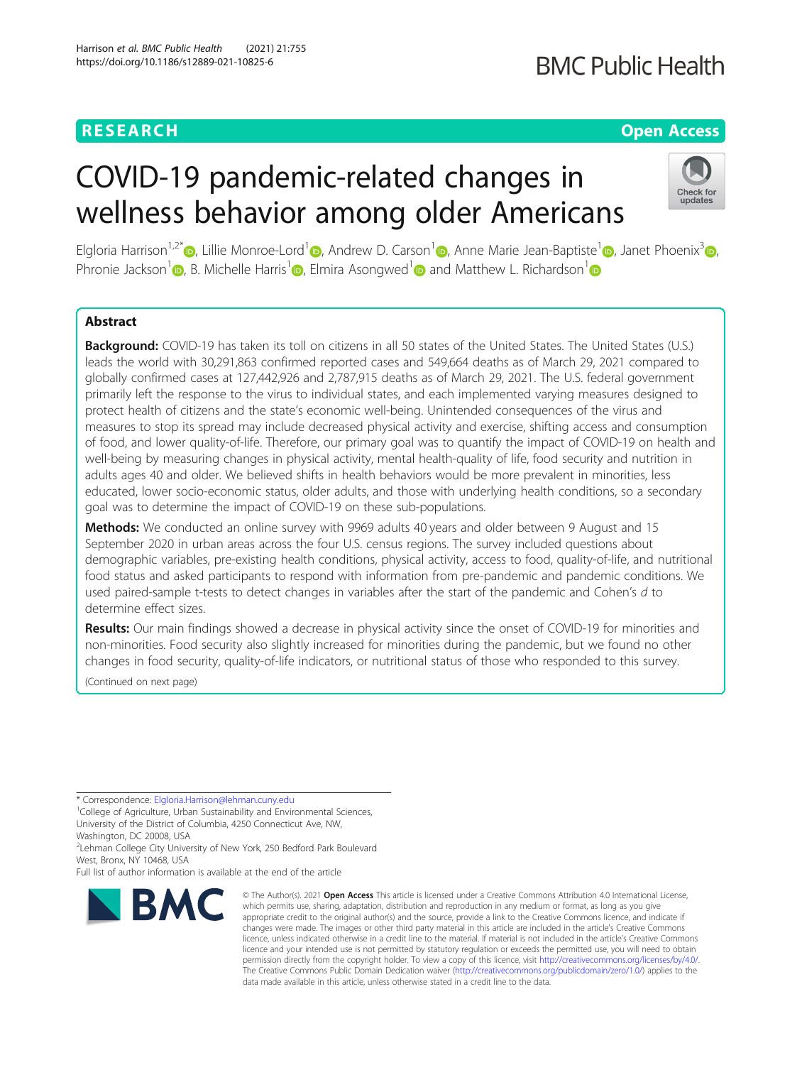### **RESEARCH CHE Open Access**

## **BMC Public Health**

# COVID-19 pandemic-related changes in wellness behavior among older Americans



Elgloria Harrison<sup>1,2[\\*](https://orcid.org/0000-0003-2627-9524)</sup> D. Lillie Monroe-Lord<sup>[1](https://orcid.org/0000-0001-7059-6637)</sup> D. Andrew D. Carson<sup>1</sup> D. Anne Marie Jean-Baptiste<sup>1</sup> D. Janet Phoenix<sup>[3](https://orcid.org/0000-0002-0999-2443)</sup> D. Phronie Jackson<sup>[1](https://orcid.org/0000-0002-6341-9031)</sup>  $\odot$ [,](https://orcid.org/0000-0002-8297-7055) B. Michelle Harris<sup>1</sup>  $\odot$ , Elmira Asongwed<sup>1</sup>  $\odot$  and Matthew L. Richardson<sup>1</sup>  $\odot$ 

### Abstract

Background: COVID-19 has taken its toll on citizens in all 50 states of the United States. The United States (U.S.) leads the world with 30,291,863 confirmed reported cases and 549,664 deaths as of March 29, 2021 compared to globally confirmed cases at 127,442,926 and 2,787,915 deaths as of March 29, 2021. The U.S. federal government primarily left the response to the virus to individual states, and each implemented varying measures designed to protect health of citizens and the state's economic well-being. Unintended consequences of the virus and measures to stop its spread may include decreased physical activity and exercise, shifting access and consumption of food, and lower quality-of-life. Therefore, our primary goal was to quantify the impact of COVID-19 on health and well-being by measuring changes in physical activity, mental health-quality of life, food security and nutrition in adults ages 40 and older. We believed shifts in health behaviors would be more prevalent in minorities, less educated, lower socio-economic status, older adults, and those with underlying health conditions, so a secondary goal was to determine the impact of COVID-19 on these sub-populations.

Methods: We conducted an online survey with 9969 adults 40 years and older between 9 August and 15 September 2020 in urban areas across the four U.S. census regions. The survey included questions about demographic variables, pre-existing health conditions, physical activity, access to food, quality-of-life, and nutritional food status and asked participants to respond with information from pre-pandemic and pandemic conditions. We used paired-sample t-tests to detect changes in variables after the start of the pandemic and Cohen's d to determine effect sizes.

Results: Our main findings showed a decrease in physical activity since the onset of COVID-19 for minorities and non-minorities. Food security also slightly increased for minorities during the pandemic, but we found no other changes in food security, quality-of-life indicators, or nutritional status of those who responded to this survey.

(Continued on next page)

\* Correspondence: [Elgloria.Harrison@lehman.cuny.edu](mailto:Elgloria.Harrison@lehman.cuny.edu) <sup>1</sup>

<sup>1</sup>College of Agriculture, Urban Sustainability and Environmental Sciences, University of the District of Columbia, 4250 Connecticut Ave, NW,

Washington, DC 20008, USA <sup>2</sup>Lehman College City University of New York, 250 Bedford Park Boulevard West, Bronx, NY 10468, USA

Full list of author information is available at the end of the article



© The Author(s), 2021 **Open Access** This article is licensed under a Creative Commons Attribution 4.0 International License, which permits use, sharing, adaptation, distribution and reproduction in any medium or format, as long as you give appropriate credit to the original author(s) and the source, provide a link to the Creative Commons licence, and indicate if changes were made. The images or other third party material in this article are included in the article's Creative Commons licence, unless indicated otherwise in a credit line to the material. If material is not included in the article's Creative Commons licence and your intended use is not permitted by statutory regulation or exceeds the permitted use, you will need to obtain permission directly from the copyright holder. To view a copy of this licence, visit [http://creativecommons.org/licenses/by/4.0/.](http://creativecommons.org/licenses/by/4.0/) The Creative Commons Public Domain Dedication waiver [\(http://creativecommons.org/publicdomain/zero/1.0/](http://creativecommons.org/publicdomain/zero/1.0/)) applies to the data made available in this article, unless otherwise stated in a credit line to the data.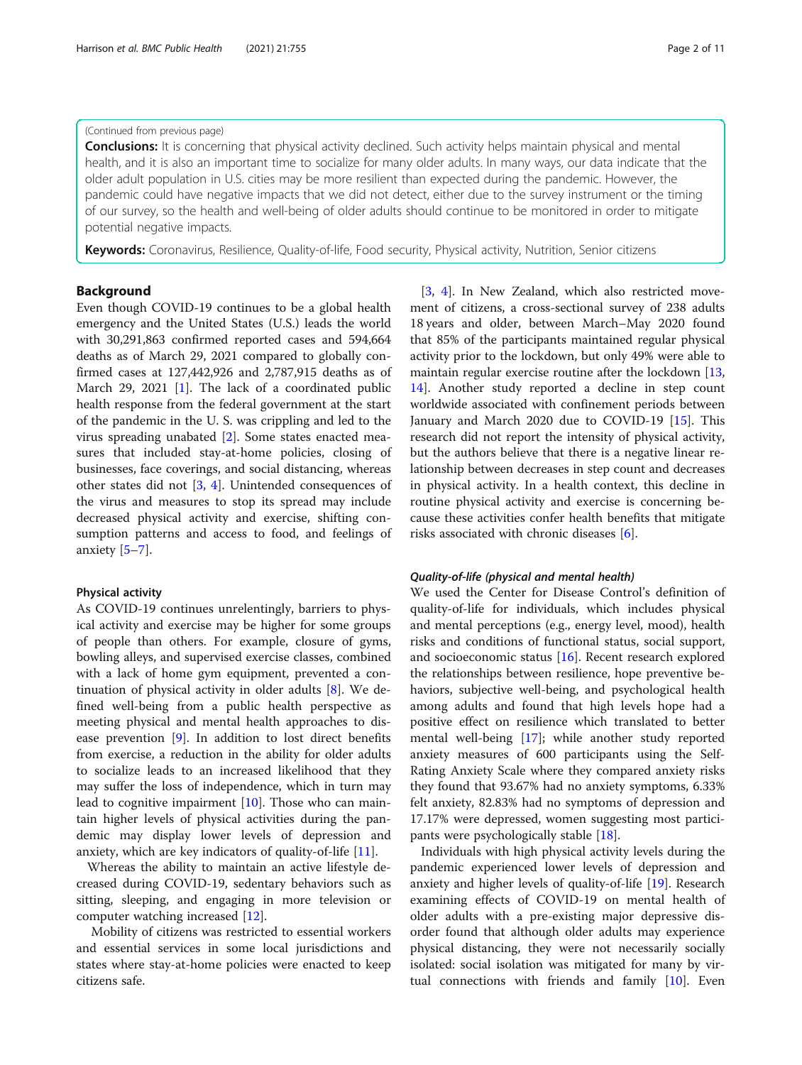#### (Continued from previous page)

**Conclusions:** It is concerning that physical activity declined. Such activity helps maintain physical and mental health, and it is also an important time to socialize for many older adults. In many ways, our data indicate that the older adult population in U.S. cities may be more resilient than expected during the pandemic. However, the pandemic could have negative impacts that we did not detect, either due to the survey instrument or the timing of our survey, so the health and well-being of older adults should continue to be monitored in order to mitigate potential negative impacts.

Keywords: Coronavirus, Resilience, Quality-of-life, Food security, Physical activity, Nutrition, Senior citizens

#### Background

Even though COVID-19 continues to be a global health emergency and the United States (U.S.) leads the world with 30,291,863 confirmed reported cases and 594,664 deaths as of March 29, 2021 compared to globally confirmed cases at 127,442,926 and 2,787,915 deaths as of March 29, 2021 [[1\]](#page-9-0). The lack of a coordinated public health response from the federal government at the start of the pandemic in the U. S. was crippling and led to the virus spreading unabated [[2\]](#page-9-0). Some states enacted measures that included stay-at-home policies, closing of businesses, face coverings, and social distancing, whereas other states did not [[3,](#page-9-0) [4\]](#page-9-0). Unintended consequences of the virus and measures to stop its spread may include decreased physical activity and exercise, shifting consumption patterns and access to food, and feelings of anxiety  $[5-7]$  $[5-7]$  $[5-7]$  $[5-7]$ .

#### Physical activity

As COVID-19 continues unrelentingly, barriers to physical activity and exercise may be higher for some groups of people than others. For example, closure of gyms, bowling alleys, and supervised exercise classes, combined with a lack of home gym equipment, prevented a continuation of physical activity in older adults [[8](#page-9-0)]. We defined well-being from a public health perspective as meeting physical and mental health approaches to disease prevention [[9](#page-9-0)]. In addition to lost direct benefits from exercise, a reduction in the ability for older adults to socialize leads to an increased likelihood that they may suffer the loss of independence, which in turn may lead to cognitive impairment [[10\]](#page-9-0). Those who can maintain higher levels of physical activities during the pandemic may display lower levels of depression and anxiety, which are key indicators of quality-of-life [[11\]](#page-9-0).

Whereas the ability to maintain an active lifestyle decreased during COVID-19, sedentary behaviors such as sitting, sleeping, and engaging in more television or computer watching increased [\[12](#page-9-0)].

Mobility of citizens was restricted to essential workers and essential services in some local jurisdictions and states where stay-at-home policies were enacted to keep citizens safe.

[[3,](#page-9-0) [4\]](#page-9-0). In New Zealand, which also restricted movement of citizens, a cross-sectional survey of 238 adults 18 years and older, between March–May 2020 found that 85% of the participants maintained regular physical activity prior to the lockdown, but only 49% were able to maintain regular exercise routine after the lockdown [[13](#page-9-0), [14\]](#page-9-0). Another study reported a decline in step count worldwide associated with confinement periods between January and March 2020 due to COVID-19 [[15](#page-9-0)]. This research did not report the intensity of physical activity, but the authors believe that there is a negative linear relationship between decreases in step count and decreases in physical activity. In a health context, this decline in routine physical activity and exercise is concerning because these activities confer health benefits that mitigate risks associated with chronic diseases [[6\]](#page-9-0).

#### Quality-of-life (physical and mental health)

We used the Center for Disease Control's definition of quality-of-life for individuals, which includes physical and mental perceptions (e.g., energy level, mood), health risks and conditions of functional status, social support, and socioeconomic status [[16](#page-9-0)]. Recent research explored the relationships between resilience, hope preventive behaviors, subjective well-being, and psychological health among adults and found that high levels hope had a positive effect on resilience which translated to better mental well-being [[17\]](#page-9-0); while another study reported anxiety measures of 600 participants using the Self-Rating Anxiety Scale where they compared anxiety risks they found that 93.67% had no anxiety symptoms, 6.33% felt anxiety, 82.83% had no symptoms of depression and 17.17% were depressed, women suggesting most participants were psychologically stable [[18\]](#page-9-0).

Individuals with high physical activity levels during the pandemic experienced lower levels of depression and anxiety and higher levels of quality-of-life [[19](#page-9-0)]. Research examining effects of COVID-19 on mental health of older adults with a pre-existing major depressive disorder found that although older adults may experience physical distancing, they were not necessarily socially isolated: social isolation was mitigated for many by virtual connections with friends and family [\[10\]](#page-9-0). Even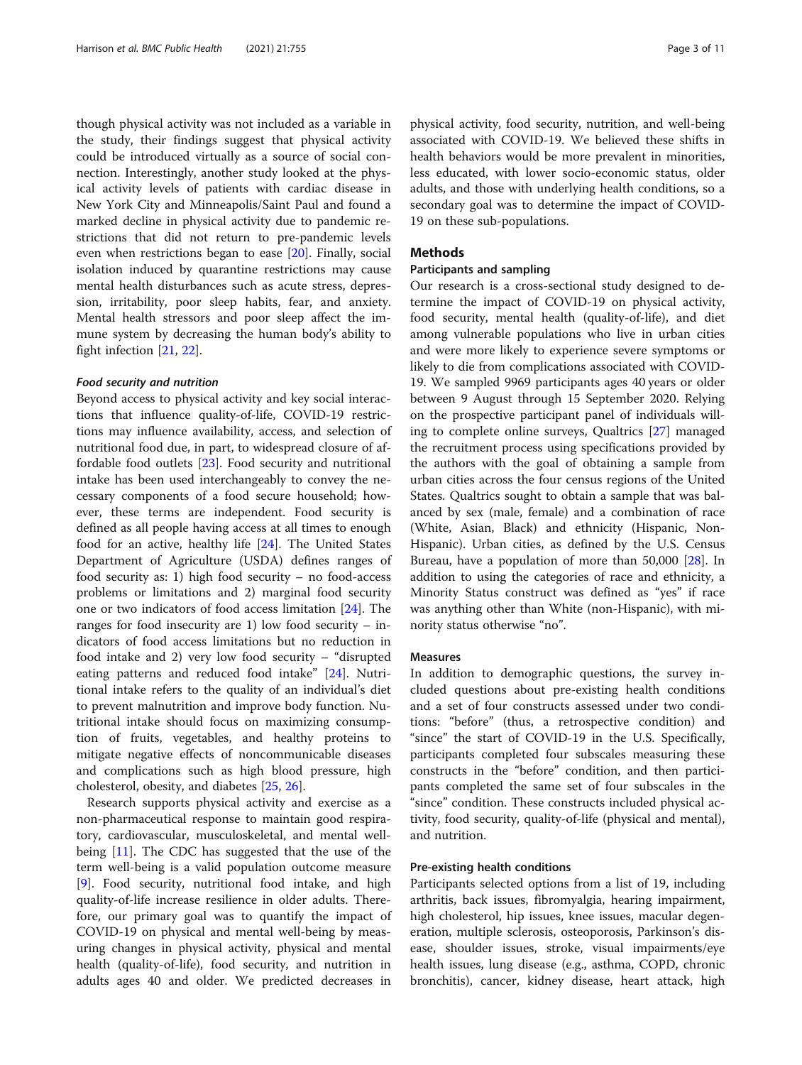though physical activity was not included as a variable in the study, their findings suggest that physical activity could be introduced virtually as a source of social connection. Interestingly, another study looked at the physical activity levels of patients with cardiac disease in New York City and Minneapolis/Saint Paul and found a marked decline in physical activity due to pandemic restrictions that did not return to pre-pandemic levels even when restrictions began to ease [[20](#page-9-0)]. Finally, social isolation induced by quarantine restrictions may cause mental health disturbances such as acute stress, depression, irritability, poor sleep habits, fear, and anxiety. Mental health stressors and poor sleep affect the immune system by decreasing the human body's ability to fight infection [\[21](#page-9-0), [22\]](#page-9-0).

#### Food security and nutrition

Beyond access to physical activity and key social interactions that influence quality-of-life, COVID-19 restrictions may influence availability, access, and selection of nutritional food due, in part, to widespread closure of affordable food outlets [\[23\]](#page-9-0). Food security and nutritional intake has been used interchangeably to convey the necessary components of a food secure household; however, these terms are independent. Food security is defined as all people having access at all times to enough food for an active, healthy life [[24\]](#page-9-0). The United States Department of Agriculture (USDA) defines ranges of food security as: 1) high food security – no food-access problems or limitations and 2) marginal food security one or two indicators of food access limitation [[24\]](#page-9-0). The ranges for food insecurity are 1) low food security – indicators of food access limitations but no reduction in food intake and 2) very low food security – "disrupted eating patterns and reduced food intake" [\[24](#page-9-0)]. Nutritional intake refers to the quality of an individual's diet to prevent malnutrition and improve body function. Nutritional intake should focus on maximizing consumption of fruits, vegetables, and healthy proteins to mitigate negative effects of noncommunicable diseases and complications such as high blood pressure, high cholesterol, obesity, and diabetes [[25,](#page-9-0) [26\]](#page-9-0).

Research supports physical activity and exercise as a non-pharmaceutical response to maintain good respiratory, cardiovascular, musculoskeletal, and mental wellbeing [\[11\]](#page-9-0). The CDC has suggested that the use of the term well-being is a valid population outcome measure [[9\]](#page-9-0). Food security, nutritional food intake, and high quality-of-life increase resilience in older adults. Therefore, our primary goal was to quantify the impact of COVID-19 on physical and mental well-being by measuring changes in physical activity, physical and mental health (quality-of-life), food security, and nutrition in adults ages 40 and older. We predicted decreases in

physical activity, food security, nutrition, and well-being associated with COVID-19. We believed these shifts in health behaviors would be more prevalent in minorities, less educated, with lower socio-economic status, older adults, and those with underlying health conditions, so a secondary goal was to determine the impact of COVID-19 on these sub-populations.

#### Methods

#### Participants and sampling

Our research is a cross-sectional study designed to determine the impact of COVID-19 on physical activity, food security, mental health (quality-of-life), and diet among vulnerable populations who live in urban cities and were more likely to experience severe symptoms or likely to die from complications associated with COVID-19. We sampled 9969 participants ages 40 years or older between 9 August through 15 September 2020. Relying on the prospective participant panel of individuals willing to complete online surveys, Qualtrics [[27\]](#page-9-0) managed the recruitment process using specifications provided by the authors with the goal of obtaining a sample from urban cities across the four census regions of the United States. Qualtrics sought to obtain a sample that was balanced by sex (male, female) and a combination of race (White, Asian, Black) and ethnicity (Hispanic, Non-Hispanic). Urban cities, as defined by the U.S. Census Bureau, have a population of more than 50,000 [[28\]](#page-9-0). In addition to using the categories of race and ethnicity, a Minority Status construct was defined as "yes" if race was anything other than White (non-Hispanic), with minority status otherwise "no".

#### Measures

In addition to demographic questions, the survey included questions about pre-existing health conditions and a set of four constructs assessed under two conditions: "before" (thus, a retrospective condition) and "since" the start of COVID-19 in the U.S. Specifically, participants completed four subscales measuring these constructs in the "before" condition, and then participants completed the same set of four subscales in the "since" condition. These constructs included physical activity, food security, quality-of-life (physical and mental), and nutrition.

#### Pre-existing health conditions

Participants selected options from a list of 19, including arthritis, back issues, fibromyalgia, hearing impairment, high cholesterol, hip issues, knee issues, macular degeneration, multiple sclerosis, osteoporosis, Parkinson's disease, shoulder issues, stroke, visual impairments/eye health issues, lung disease (e.g., asthma, COPD, chronic bronchitis), cancer, kidney disease, heart attack, high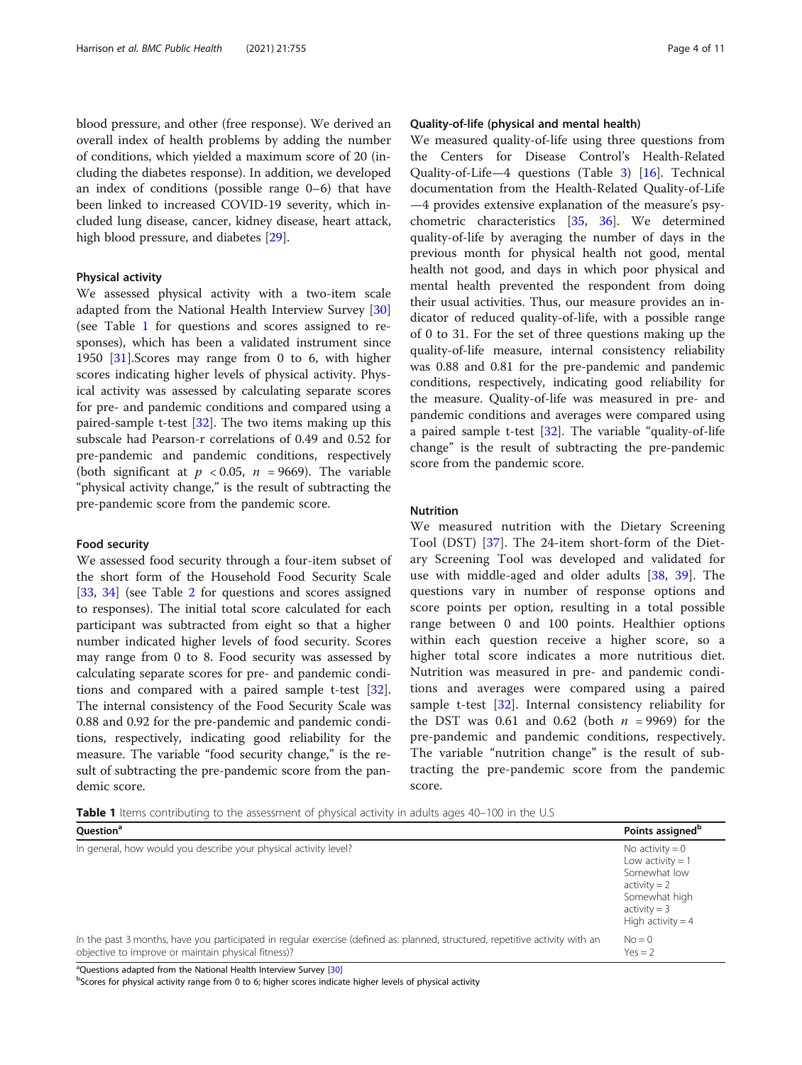blood pressure, and other (free response). We derived an overall index of health problems by adding the number of conditions, which yielded a maximum score of 20 (including the diabetes response). In addition, we developed an index of conditions (possible range 0–6) that have been linked to increased COVID-19 severity, which included lung disease, cancer, kidney disease, heart attack, high blood pressure, and diabetes [[29\]](#page-9-0).

#### Physical activity

We assessed physical activity with a two-item scale adapted from the National Health Interview Survey [[30](#page-9-0)] (see Table 1 for questions and scores assigned to responses), which has been a validated instrument since 1950 [[31](#page-9-0)].Scores may range from 0 to 6, with higher scores indicating higher levels of physical activity. Physical activity was assessed by calculating separate scores for pre- and pandemic conditions and compared using a paired-sample t-test [[32](#page-9-0)]. The two items making up this subscale had Pearson-r correlations of 0.49 and 0.52 for pre-pandemic and pandemic conditions, respectively (both significant at  $p < 0.05$ ,  $n = 9669$ ). The variable "physical activity change," is the result of subtracting the pre-pandemic score from the pandemic score.

#### Food security

We assessed food security through a four-item subset of the short form of the Household Food Security Scale [[33,](#page-9-0) [34\]](#page-9-0) (see Table [2](#page-4-0) for questions and scores assigned to responses). The initial total score calculated for each participant was subtracted from eight so that a higher number indicated higher levels of food security. Scores may range from 0 to 8. Food security was assessed by calculating separate scores for pre- and pandemic conditions and compared with a paired sample t-test [\[32](#page-9-0)]. The internal consistency of the Food Security Scale was 0.88 and 0.92 for the pre-pandemic and pandemic conditions, respectively, indicating good reliability for the measure. The variable "food security change," is the result of subtracting the pre-pandemic score from the pandemic score.

#### Quality-of-life (physical and mental health)

We measured quality-of-life using three questions from the Centers for Disease Control's Health-Related Quality-of-Life—4 questions (Table [3\)](#page-4-0) [[16\]](#page-9-0). Technical documentation from the Health-Related Quality-of-Life —4 provides extensive explanation of the measure's psychometric characteristics [[35](#page-10-0), [36\]](#page-10-0). We determined quality-of-life by averaging the number of days in the previous month for physical health not good, mental health not good, and days in which poor physical and mental health prevented the respondent from doing their usual activities. Thus, our measure provides an indicator of reduced quality-of-life, with a possible range of 0 to 31. For the set of three questions making up the quality-of-life measure, internal consistency reliability was 0.88 and 0.81 for the pre-pandemic and pandemic conditions, respectively, indicating good reliability for the measure. Quality-of-life was measured in pre- and pandemic conditions and averages were compared using a paired sample t-test  $[32]$  $[32]$ . The variable "quality-of-life" change" is the result of subtracting the pre-pandemic score from the pandemic score.

#### Nutrition

We measured nutrition with the Dietary Screening Tool (DST) [\[37](#page-10-0)]. The 24-item short-form of the Dietary Screening Tool was developed and validated for use with middle-aged and older adults [[38](#page-10-0), [39](#page-10-0)]. The questions vary in number of response options and score points per option, resulting in a total possible range between 0 and 100 points. Healthier options within each question receive a higher score, so a higher total score indicates a more nutritious diet. Nutrition was measured in pre- and pandemic conditions and averages were compared using a paired sample t-test [[32\]](#page-9-0). Internal consistency reliability for the DST was 0.61 and 0.62 (both  $n = 9969$ ) for the pre-pandemic and pandemic conditions, respectively. The variable "nutrition change" is the result of subtracting the pre-pandemic score from the pandemic score.

Table 1 Items contributing to the assessment of physical activity in adults ages 40–100 in the U.S

| Ouestion <sup>a</sup>                                                                                                                                                                | Points assigned <sup>b</sup>                                                                                                                      |
|--------------------------------------------------------------------------------------------------------------------------------------------------------------------------------------|---------------------------------------------------------------------------------------------------------------------------------------------------|
| In general, how would you describe your physical activity level?                                                                                                                     | No activity $= 0$<br>Low activity $= 1$<br>Somewhat low<br>$\text{activity} = 2$<br>Somewhat high<br>$\text{activity} = 3$<br>High activity $=$ 4 |
| In the past 3 months, have you participated in regular exercise (defined as: planned, structured, repetitive activity with an<br>objective to improve or maintain physical fitness)? | $No = 0$<br>$Yes = 2$                                                                                                                             |

<sup>a</sup>Questions adapted from the National Health Interview Survey [\[30\]](#page-9-0)<br>bScores for physical activity range from 0 to 6; bigher scores indica

<sup>b</sup>Scores for physical activity range from 0 to 6; higher scores indicate higher levels of physical activity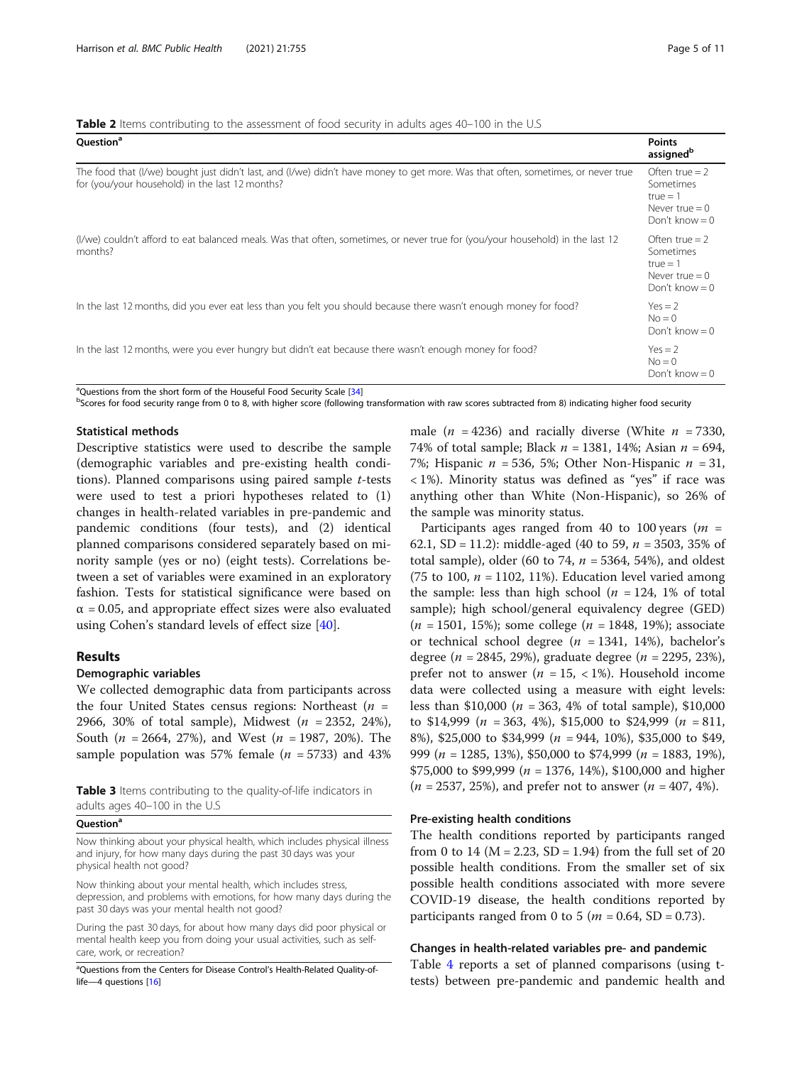<span id="page-4-0"></span>Table 2 Items contributing to the assessment of food security in adults ages 40-100 in the U.S

| Question <sup>a</sup>                                                                                                                                                               | <b>Points</b><br>assigned <sup>b</sup>                                              |
|-------------------------------------------------------------------------------------------------------------------------------------------------------------------------------------|-------------------------------------------------------------------------------------|
| The food that (I/we) bought just didn't last, and (I/we) didn't have money to get more. Was that often, sometimes, or never true<br>for (you/your household) in the last 12 months? | Often true = $2$<br>Sometimes<br>$true = 1$<br>Never $true = 0$<br>Don't know $= 0$ |
| (I/we) couldn't afford to eat balanced meals. Was that often, sometimes, or never true for (you/your household) in the last 12<br>months?                                           | Often true $= 2$<br>Sometimes<br>$true = 1$<br>Never $true = 0$<br>Don't know $= 0$ |
| In the last 12 months, did you ever eat less than you felt you should because there wasn't enough money for food?                                                                   | $Yes = 2$<br>$No = 0$<br>Don't know $= 0$                                           |
| In the last 12 months, were you ever hungry but didn't eat because there wasn't enough money for food?                                                                              | $Yes = 2$<br>$No = 0$<br>Don't know $= 0$                                           |

<sup>a</sup>Questions from the short form of the Houseful Food Security Scale [[34\]](#page-9-0)<br>bScares for food security range from 0 to 8, with bigher scare (following <sup>b</sup>Scores for food security range from 0 to 8, with higher score (following transformation with raw scores subtracted from 8) indicating higher food security

#### Statistical methods

Descriptive statistics were used to describe the sample (demographic variables and pre-existing health conditions). Planned comparisons using paired sample t-tests were used to test a priori hypotheses related to (1) changes in health-related variables in pre-pandemic and pandemic conditions (four tests), and (2) identical planned comparisons considered separately based on minority sample (yes or no) (eight tests). Correlations between a set of variables were examined in an exploratory fashion. Tests for statistical significance were based on  $\alpha$  = 0.05, and appropriate effect sizes were also evaluated using Cohen's standard levels of effect size [\[40](#page-10-0)].

#### Results

#### Demographic variables

We collected demographic data from participants across the four United States census regions: Northeast  $(n =$ 2966, 30% of total sample), Midwest  $(n = 2352, 24\%)$ , South ( $n = 2664, 27\%)$ , and West ( $n = 1987, 20\%)$ . The sample population was 57% female ( $n = 5733$ ) and 43%

Table 3 Items contributing to the quality-of-life indicators in adults ages 40–100 in the U.S

#### Question<sup>a</sup>

Now thinking about your physical health, which includes physical illness and injury, for how many days during the past 30 days was your physical health not good?

Now thinking about your mental health, which includes stress, depression, and problems with emotions, for how many days during the past 30 days was your mental health not good?

During the past 30 days, for about how many days did poor physical or mental health keep you from doing your usual activities, such as selfcare, work, or recreation?

<sup>a</sup>Questions from the Centers for Disease Control's Health-Related Quality-oflife—4 questions [[16\]](#page-9-0)

male ( $n = 4236$ ) and racially diverse (White  $n = 7330$ , 74% of total sample; Black  $n = 1381, 14\%$ ; Asian  $n = 694$ , 7%; Hispanic  $n = 536, 5\%$ ; Other Non-Hispanic  $n = 31$ , < 1%). Minority status was defined as "yes" if race was anything other than White (Non-Hispanic), so 26% of the sample was minority status.

Participants ages ranged from 40 to 100 years ( $m =$ 62.1, SD = 11.2): middle-aged (40 to 59,  $n = 3503$ , 35% of total sample), older (60 to 74,  $n = 5364$ , 54%), and oldest (75 to 100,  $n = 1102$ , 11%). Education level varied among the sample: less than high school ( $n = 124$ , 1% of total sample); high school/general equivalency degree (GED)  $(n = 1501, 15\%)$ ; some college  $(n = 1848, 19\%)$ ; associate or technical school degree ( $n = 1341, 14\%$ ), bachelor's degree (*n* = 2845, 29%), graduate degree (*n* = 2295, 23%), prefer not to answer ( $n = 15, < 1\%$ ). Household income data were collected using a measure with eight levels: less than \$10,000 ( $n = 363$ , 4% of total sample), \$10,000 to \$14,999 ( $n = 363, 4\%)$ , \$15,000 to \$24,999 ( $n = 811$ , 8%), \$25,000 to \$34,999 ( $n = 944$ , 10%), \$35,000 to \$49, 999 ( $n = 1285, 13\%$ ), \$50,000 to \$74,999 ( $n = 1883, 19\%$ ), \$75,000 to \$99,999 ( $n = 1376$ , 14%), \$100,000 and higher  $(n = 2537, 25\%)$ , and prefer not to answer  $(n = 407, 4\%)$ .

#### Pre-existing health conditions

The health conditions reported by participants ranged from 0 to 14 ( $M = 2.23$ ,  $SD = 1.94$ ) from the full set of 20 possible health conditions. From the smaller set of six possible health conditions associated with more severe COVID-19 disease, the health conditions reported by participants ranged from 0 to 5 ( $m = 0.64$ , SD = 0.73).

#### Changes in health-related variables pre- and pandemic

Table [4](#page-5-0) reports a set of planned comparisons (using ttests) between pre-pandemic and pandemic health and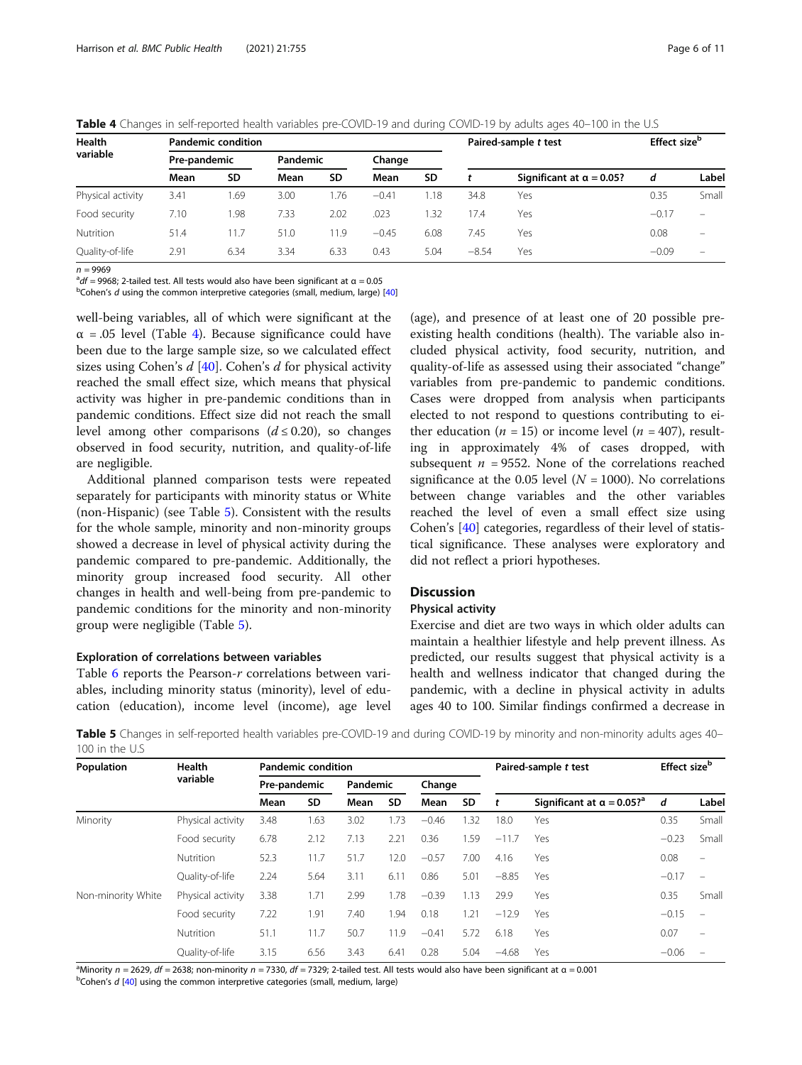<span id="page-5-0"></span>

|  |  | <b>Table 4</b> Changes in self-reported health variables pre-COVID-19 and during COVID-19 by adults ages 40–100 in the U.S |
|--|--|----------------------------------------------------------------------------------------------------------------------------|
|  |  |                                                                                                                            |

| Health<br>variable |              | <b>Pandemic condition</b> |          |      |         |           | Paired-sample t test | Effect size <sup>b</sup>         |         |                          |
|--------------------|--------------|---------------------------|----------|------|---------|-----------|----------------------|----------------------------------|---------|--------------------------|
|                    | Pre-pandemic |                           | Pandemic |      | Change  |           |                      |                                  |         |                          |
|                    | Mean         | SD                        | Mean     | SD   | Mean    | <b>SD</b> |                      | Significant at $\alpha = 0.05$ ? | d       | Label                    |
| Physical activity  | 3.41         | .69                       | 3.00     | .76  | $-0.41$ | l.18      | 34.8                 | Yes                              | 0.35    | Small                    |
| Food security      | 7.10         | .98                       | 7.33     | 2.02 | .023    | .32       | 17.4                 | Yes                              | $-0.17$ | $\equiv$                 |
| <b>Nutrition</b>   | 51.4         | 1.7                       | 51.0     | 1.9  | $-0.45$ | 6.08      | 7.45                 | Yes                              | 0.08    | $\overline{\phantom{0}}$ |
| Quality-of-life    | 2.91         | 6.34                      | 3.34     | 6.33 | 0.43    | 5.04      | $-8.54$              | Yes                              | $-0.09$ | $\equiv$                 |

n = 9969<br><sup>a</sup>df = 006

 $^{\text{a}}$ df = 9968; 2-tailed test. All tests would also have been significant at α = 0.05<br><sup>b</sup>Coben's dusing the common interpretive categories (small, medium, large).

 $b$ Cohen's d using the common interpretive categories (small, medium, large) [\[40\]](#page-10-0)

well-being variables, all of which were significant at the  $\alpha$  = .05 level (Table 4). Because significance could have been due to the large sample size, so we calculated effect sizes using Cohen's  $d$  [[40\]](#page-10-0). Cohen's  $d$  for physical activity reached the small effect size, which means that physical activity was higher in pre-pandemic conditions than in pandemic conditions. Effect size did not reach the small level among other comparisons  $(d \le 0.20)$ , so changes observed in food security, nutrition, and quality-of-life are negligible.

Additional planned comparison tests were repeated separately for participants with minority status or White (non-Hispanic) (see Table 5). Consistent with the results for the whole sample, minority and non-minority groups showed a decrease in level of physical activity during the pandemic compared to pre-pandemic. Additionally, the minority group increased food security. All other changes in health and well-being from pre-pandemic to pandemic conditions for the minority and non-minority group were negligible (Table 5).

#### Exploration of correlations between variables

Table [6](#page-6-0) reports the Pearson-r correlations between variables, including minority status (minority), level of education (education), income level (income), age level

(age), and presence of at least one of 20 possible preexisting health conditions (health). The variable also included physical activity, food security, nutrition, and quality-of-life as assessed using their associated "change" variables from pre-pandemic to pandemic conditions. Cases were dropped from analysis when participants elected to not respond to questions contributing to either education ( $n = 15$ ) or income level ( $n = 407$ ), resulting in approximately 4% of cases dropped, with subsequent  $n = 9552$ . None of the correlations reached significance at the 0.05 level  $(N = 1000)$ . No correlations between change variables and the other variables reached the level of even a small effect size using Cohen's [[40](#page-10-0)] categories, regardless of their level of statistical significance. These analyses were exploratory and did not reflect a priori hypotheses.

#### **Discussion**

#### Physical activity

Exercise and diet are two ways in which older adults can maintain a healthier lifestyle and help prevent illness. As predicted, our results suggest that physical activity is a health and wellness indicator that changed during the pandemic, with a decline in physical activity in adults ages 40 to 100. Similar findings confirmed a decrease in

Table 5 Changes in self-reported health variables pre-COVID-19 and during COVID-19 by minority and non-minority adults ages 40– 100 in the U.S

| Population         | Health<br>variable | <b>Pandemic condition</b> |           |          |           |         |           |         | Paired-sample t test                          | Effect size <sup>b</sup> |                          |
|--------------------|--------------------|---------------------------|-----------|----------|-----------|---------|-----------|---------|-----------------------------------------------|--------------------------|--------------------------|
|                    |                    | Pre-pandemic              |           | Pandemic |           | Change  |           |         |                                               |                          |                          |
|                    |                    | Mean                      | <b>SD</b> | Mean     | <b>SD</b> | Mean    | <b>SD</b> |         | Significant at $\alpha = 0.05$ ? <sup>a</sup> | d                        | Label                    |
| Minority           | Physical activity  | 3.48                      | 1.63      | 3.02     | 1.73      | $-0.46$ | 1.32      | 18.0    | Yes                                           | 0.35                     | Small                    |
|                    | Food security      | 6.78                      | 2.12      | 7.13     | 2.21      | 0.36    | 1.59      | $-11.7$ | Yes                                           | $-0.23$                  | Small                    |
|                    | Nutrition          | 52.3                      | 11.7      | 51.7     | 12.0      | $-0.57$ | 7.00      | 4.16    | Yes                                           | 0.08                     | $\overline{\phantom{m}}$ |
|                    | Quality-of-life    | 2.24                      | 5.64      | 3.11     | 6.11      | 0.86    | 5.01      | $-8.85$ | Yes                                           | $-0.17$                  | $\qquad \qquad -$        |
| Non-minority White | Physical activity  | 3.38                      | 1.71      | 2.99     | 1.78      | $-0.39$ | 1.13      | 29.9    | Yes                                           | 0.35                     | Small                    |
|                    | Food security      | 7.22                      | 1.91      | 7.40     | 1.94      | 0.18    | 1.21      | $-12.9$ | Yes                                           | $-0.15$                  | $\overline{\phantom{m}}$ |
|                    | Nutrition          | 51.1                      | 11.7      | 50.7     | 11.9      | $-0.41$ | 5.72      | 6.18    | Yes                                           | 0.07                     | $\qquad \qquad =$        |
|                    | Quality-of-life    | 3.15                      | 6.56      | 3.43     | 6.41      | 0.28    | 5.04      | $-4.68$ | Yes                                           | $-0.06$                  |                          |

<sup>a</sup>Minority *n* = 2629, df = 2638; non-minority *n* = 7330, df = 7329; 2-tailed test. All tests would also have been significant at α = 0.001<br><sup>b</sup>Coben's d [40] using the common interpretive categories (small medium Jarge)

 $^{b}$ Cohen's  $d$  [[40\]](#page-10-0) using the common interpretive categories (small, medium, large)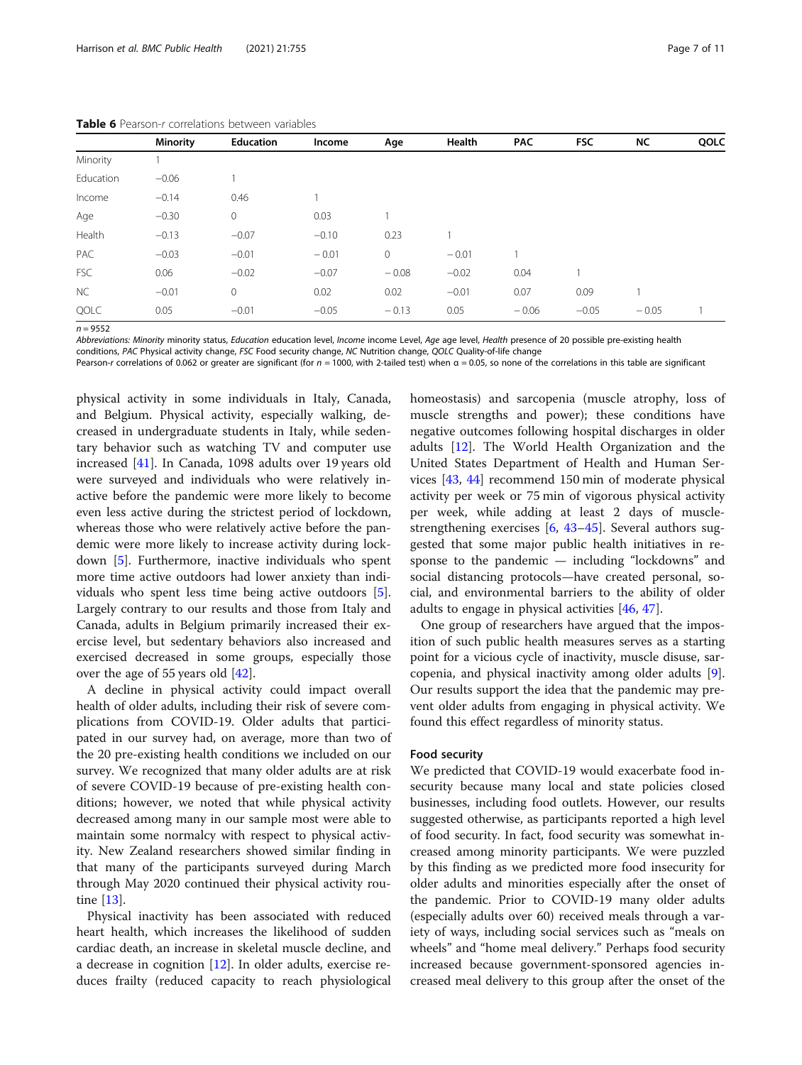|            | <b>Minority</b> | <b>Education</b> | Income  | Age     | Health  | <b>PAC</b> | <b>FSC</b> | NC      | QOLC |
|------------|-----------------|------------------|---------|---------|---------|------------|------------|---------|------|
| Minority   |                 |                  |         |         |         |            |            |         |      |
| Education  | $-0.06$         |                  |         |         |         |            |            |         |      |
| Income     | $-0.14$         | 0.46             |         |         |         |            |            |         |      |
| Age        | $-0.30$         | $\mathbf 0$      | 0.03    |         |         |            |            |         |      |
| Health     | $-0.13$         | $-0.07$          | $-0.10$ | 0.23    |         |            |            |         |      |
| PAC        | $-0.03$         | $-0.01$          | $-0.01$ | 0       | $-0.01$ |            |            |         |      |
| <b>FSC</b> | 0.06            | $-0.02$          | $-0.07$ | $-0.08$ | $-0.02$ | 0.04       |            |         |      |
| <b>NC</b>  | $-0.01$         | $\mathbf 0$      | 0.02    | 0.02    | $-0.01$ | 0.07       | 0.09       |         |      |
| QOLC       | 0.05            | $-0.01$          | $-0.05$ | $-0.13$ | 0.05    | $-0.06$    | $-0.05$    | $-0.05$ |      |

<span id="page-6-0"></span>Table 6 Pearson-r correlations between variables

 $n = 9552$ 

Abbreviations: Minority minority status, Education education level, Income income Level, Age age level, Health presence of 20 possible pre-existing health

conditions, PAC Physical activity change, FSC Food security change, NC Nutrition change, QOLC Quality-of-life change

Pearson-r correlations of 0.062 or greater are significant (for  $n = 1000$ , with 2-tailed test) when  $\alpha = 0.05$ , so none of the correlations in this table are significant

physical activity in some individuals in Italy, Canada, and Belgium. Physical activity, especially walking, decreased in undergraduate students in Italy, while sedentary behavior such as watching TV and computer use increased [[41\]](#page-10-0). In Canada, 1098 adults over 19 years old were surveyed and individuals who were relatively inactive before the pandemic were more likely to become even less active during the strictest period of lockdown, whereas those who were relatively active before the pandemic were more likely to increase activity during lockdown [\[5](#page-9-0)]. Furthermore, inactive individuals who spent more time active outdoors had lower anxiety than individuals who spent less time being active outdoors [\[5](#page-9-0)]. Largely contrary to our results and those from Italy and Canada, adults in Belgium primarily increased their exercise level, but sedentary behaviors also increased and exercised decreased in some groups, especially those over the age of 55 years old [[42\]](#page-10-0).

A decline in physical activity could impact overall health of older adults, including their risk of severe complications from COVID-19. Older adults that participated in our survey had, on average, more than two of the 20 pre-existing health conditions we included on our survey. We recognized that many older adults are at risk of severe COVID-19 because of pre-existing health conditions; however, we noted that while physical activity decreased among many in our sample most were able to maintain some normalcy with respect to physical activity. New Zealand researchers showed similar finding in that many of the participants surveyed during March through May 2020 continued their physical activity routine [\[13](#page-9-0)].

Physical inactivity has been associated with reduced heart health, which increases the likelihood of sudden cardiac death, an increase in skeletal muscle decline, and a decrease in cognition [[12](#page-9-0)]. In older adults, exercise reduces frailty (reduced capacity to reach physiological homeostasis) and sarcopenia (muscle atrophy, loss of muscle strengths and power); these conditions have negative outcomes following hospital discharges in older adults [[12\]](#page-9-0). The World Health Organization and the United States Department of Health and Human Services [\[43,](#page-10-0) [44](#page-10-0)] recommend 150 min of moderate physical activity per week or 75 min of vigorous physical activity per week, while adding at least 2 days of musclestrengthening exercises [[6,](#page-9-0) [43](#page-10-0)–[45\]](#page-10-0). Several authors suggested that some major public health initiatives in response to the pandemic — including "lockdowns" and social distancing protocols—have created personal, social, and environmental barriers to the ability of older adults to engage in physical activities [\[46](#page-10-0), [47](#page-10-0)].

One group of researchers have argued that the imposition of such public health measures serves as a starting point for a vicious cycle of inactivity, muscle disuse, sarcopenia, and physical inactivity among older adults [\[9](#page-9-0)]. Our results support the idea that the pandemic may prevent older adults from engaging in physical activity. We found this effect regardless of minority status.

#### Food security

We predicted that COVID-19 would exacerbate food insecurity because many local and state policies closed businesses, including food outlets. However, our results suggested otherwise, as participants reported a high level of food security. In fact, food security was somewhat increased among minority participants. We were puzzled by this finding as we predicted more food insecurity for older adults and minorities especially after the onset of the pandemic. Prior to COVID-19 many older adults (especially adults over 60) received meals through a variety of ways, including social services such as "meals on wheels" and "home meal delivery." Perhaps food security increased because government-sponsored agencies increased meal delivery to this group after the onset of the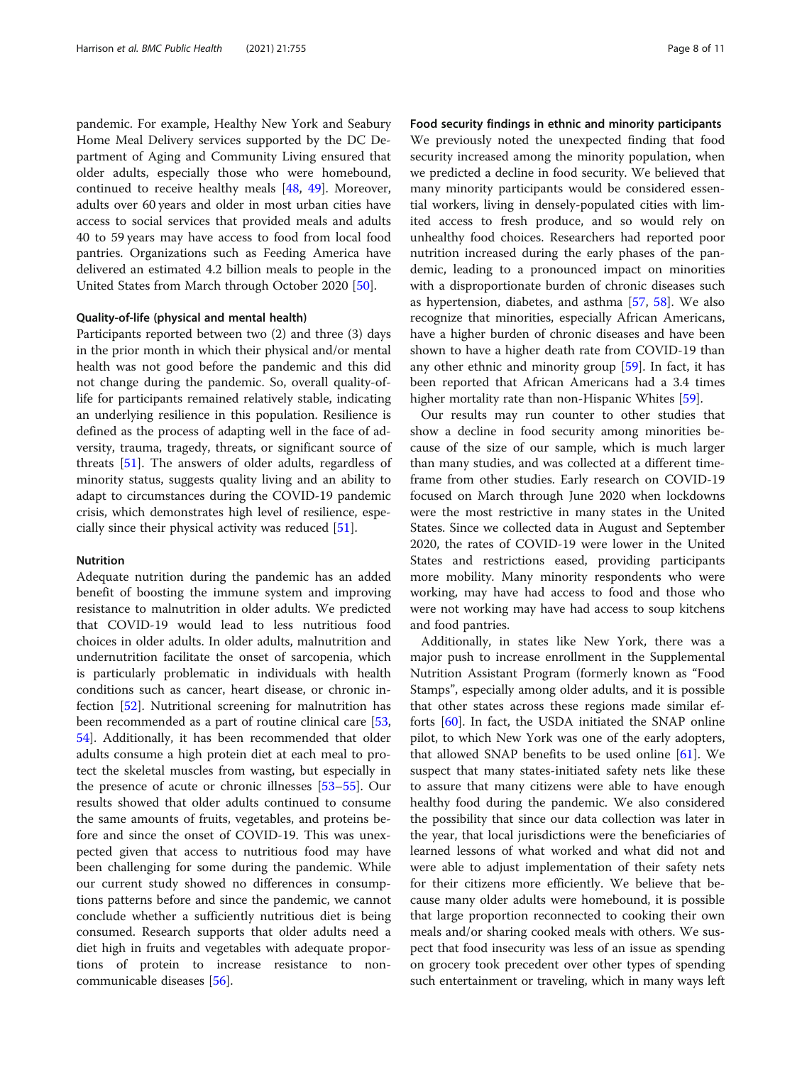pandemic. For example, Healthy New York and Seabury Home Meal Delivery services supported by the DC Department of Aging and Community Living ensured that older adults, especially those who were homebound, continued to receive healthy meals [\[48](#page-10-0), [49\]](#page-10-0). Moreover, adults over 60 years and older in most urban cities have access to social services that provided meals and adults 40 to 59 years may have access to food from local food pantries. Organizations such as Feeding America have delivered an estimated 4.2 billion meals to people in the United States from March through October 2020 [[50\]](#page-10-0).

#### Quality-of-life (physical and mental health)

Participants reported between two (2) and three (3) days in the prior month in which their physical and/or mental health was not good before the pandemic and this did not change during the pandemic. So, overall quality-oflife for participants remained relatively stable, indicating an underlying resilience in this population. Resilience is defined as the process of adapting well in the face of adversity, trauma, tragedy, threats, or significant source of threats [\[51\]](#page-10-0). The answers of older adults, regardless of minority status, suggests quality living and an ability to adapt to circumstances during the COVID-19 pandemic crisis, which demonstrates high level of resilience, especially since their physical activity was reduced [\[51](#page-10-0)].

#### Nutrition

Adequate nutrition during the pandemic has an added benefit of boosting the immune system and improving resistance to malnutrition in older adults. We predicted that COVID-19 would lead to less nutritious food choices in older adults. In older adults, malnutrition and undernutrition facilitate the onset of sarcopenia, which is particularly problematic in individuals with health conditions such as cancer, heart disease, or chronic infection [\[52](#page-10-0)]. Nutritional screening for malnutrition has been recommended as a part of routine clinical care [[53](#page-10-0), [54\]](#page-10-0). Additionally, it has been recommended that older adults consume a high protein diet at each meal to protect the skeletal muscles from wasting, but especially in the presence of acute or chronic illnesses [[53](#page-10-0)–[55\]](#page-10-0). Our results showed that older adults continued to consume the same amounts of fruits, vegetables, and proteins before and since the onset of COVID-19. This was unexpected given that access to nutritious food may have been challenging for some during the pandemic. While our current study showed no differences in consumptions patterns before and since the pandemic, we cannot conclude whether a sufficiently nutritious diet is being consumed. Research supports that older adults need a diet high in fruits and vegetables with adequate proportions of protein to increase resistance to noncommunicable diseases [\[56\]](#page-10-0).

Food security findings in ethnic and minority participants We previously noted the unexpected finding that food security increased among the minority population, when we predicted a decline in food security. We believed that many minority participants would be considered essential workers, living in densely-populated cities with limited access to fresh produce, and so would rely on unhealthy food choices. Researchers had reported poor nutrition increased during the early phases of the pandemic, leading to a pronounced impact on minorities with a disproportionate burden of chronic diseases such as hypertension, diabetes, and asthma [[57,](#page-10-0) [58](#page-10-0)]. We also recognize that minorities, especially African Americans, have a higher burden of chronic diseases and have been shown to have a higher death rate from COVID-19 than any other ethnic and minority group [\[59](#page-10-0)]. In fact, it has been reported that African Americans had a 3.4 times higher mortality rate than non-Hispanic Whites [\[59](#page-10-0)].

Our results may run counter to other studies that show a decline in food security among minorities because of the size of our sample, which is much larger than many studies, and was collected at a different timeframe from other studies. Early research on COVID-19 focused on March through June 2020 when lockdowns were the most restrictive in many states in the United States. Since we collected data in August and September 2020, the rates of COVID-19 were lower in the United States and restrictions eased, providing participants more mobility. Many minority respondents who were working, may have had access to food and those who were not working may have had access to soup kitchens and food pantries.

Additionally, in states like New York, there was a major push to increase enrollment in the Supplemental Nutrition Assistant Program (formerly known as "Food Stamps", especially among older adults, and it is possible that other states across these regions made similar efforts [\[60](#page-10-0)]. In fact, the USDA initiated the SNAP online pilot, to which New York was one of the early adopters, that allowed SNAP benefits to be used online  $[61]$ . We suspect that many states-initiated safety nets like these to assure that many citizens were able to have enough healthy food during the pandemic. We also considered the possibility that since our data collection was later in the year, that local jurisdictions were the beneficiaries of learned lessons of what worked and what did not and were able to adjust implementation of their safety nets for their citizens more efficiently. We believe that because many older adults were homebound, it is possible that large proportion reconnected to cooking their own meals and/or sharing cooked meals with others. We suspect that food insecurity was less of an issue as spending on grocery took precedent over other types of spending such entertainment or traveling, which in many ways left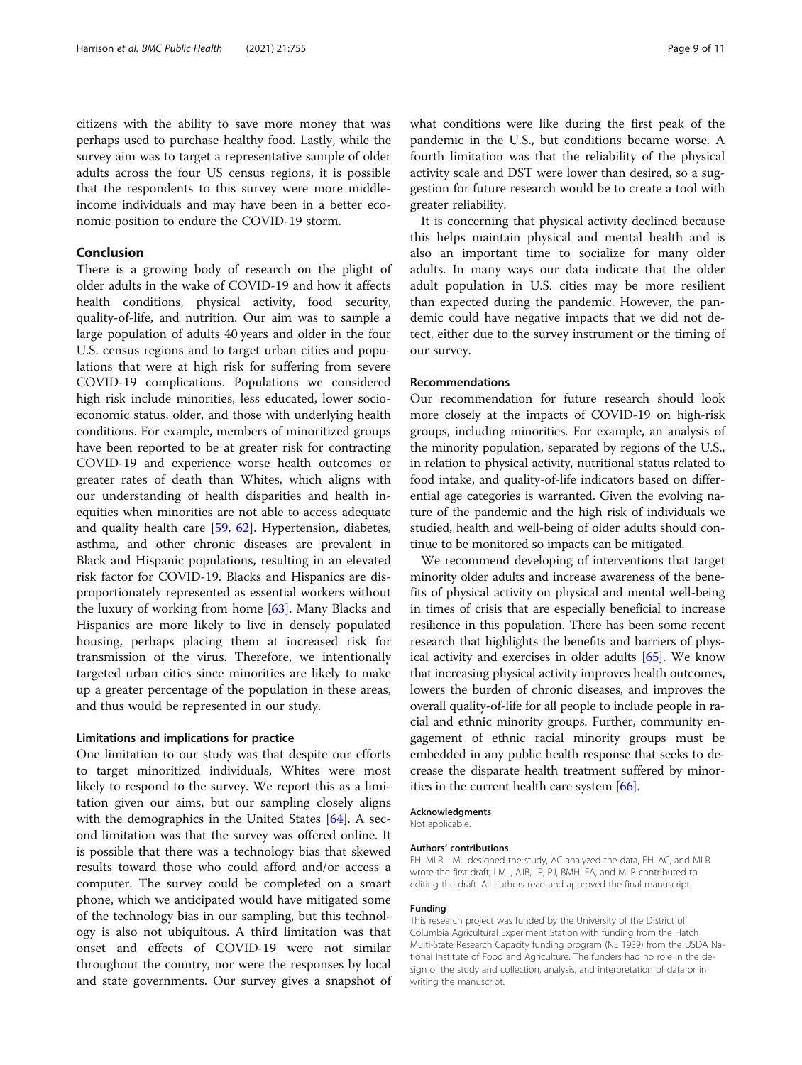Harrison et al. BMC Public Health (2021) 21:755 Page 9 of 11

citizens with the ability to save more money that was perhaps used to purchase healthy food. Lastly, while the survey aim was to target a representative sample of older adults across the four US census regions, it is possible that the respondents to this survey were more middleincome individuals and may have been in a better economic position to endure the COVID-19 storm.

#### Conclusion

There is a growing body of research on the plight of older adults in the wake of COVID-19 and how it affects health conditions, physical activity, food security, quality-of-life, and nutrition. Our aim was to sample a large population of adults 40 years and older in the four U.S. census regions and to target urban cities and populations that were at high risk for suffering from severe COVID-19 complications. Populations we considered high risk include minorities, less educated, lower socioeconomic status, older, and those with underlying health conditions. For example, members of minoritized groups have been reported to be at greater risk for contracting COVID-19 and experience worse health outcomes or greater rates of death than Whites, which aligns with our understanding of health disparities and health inequities when minorities are not able to access adequate and quality health care [[59](#page-10-0), [62](#page-10-0)]. Hypertension, diabetes, asthma, and other chronic diseases are prevalent in Black and Hispanic populations, resulting in an elevated risk factor for COVID-19. Blacks and Hispanics are disproportionately represented as essential workers without the luxury of working from home [[63\]](#page-10-0). Many Blacks and Hispanics are more likely to live in densely populated housing, perhaps placing them at increased risk for transmission of the virus. Therefore, we intentionally targeted urban cities since minorities are likely to make up a greater percentage of the population in these areas, and thus would be represented in our study.

#### Limitations and implications for practice

One limitation to our study was that despite our efforts to target minoritized individuals, Whites were most likely to respond to the survey. We report this as a limitation given our aims, but our sampling closely aligns with the demographics in the United States [\[64](#page-10-0)]. A second limitation was that the survey was offered online. It is possible that there was a technology bias that skewed results toward those who could afford and/or access a computer. The survey could be completed on a smart phone, which we anticipated would have mitigated some of the technology bias in our sampling, but this technology is also not ubiquitous. A third limitation was that onset and effects of COVID-19 were not similar throughout the country, nor were the responses by local and state governments. Our survey gives a snapshot of what conditions were like during the first peak of the pandemic in the U.S., but conditions became worse. A fourth limitation was that the reliability of the physical activity scale and DST were lower than desired, so a suggestion for future research would be to create a tool with greater reliability.

It is concerning that physical activity declined because this helps maintain physical and mental health and is also an important time to socialize for many older adults. In many ways our data indicate that the older adult population in U.S. cities may be more resilient than expected during the pandemic. However, the pandemic could have negative impacts that we did not detect, either due to the survey instrument or the timing of our survey.

#### Recommendations

Our recommendation for future research should look more closely at the impacts of COVID-19 on high-risk groups, including minorities. For example, an analysis of the minority population, separated by regions of the U.S., in relation to physical activity, nutritional status related to food intake, and quality-of-life indicators based on differential age categories is warranted. Given the evolving nature of the pandemic and the high risk of individuals we studied, health and well-being of older adults should continue to be monitored so impacts can be mitigated.

We recommend developing of interventions that target minority older adults and increase awareness of the benefits of physical activity on physical and mental well-being in times of crisis that are especially beneficial to increase resilience in this population. There has been some recent research that highlights the benefits and barriers of physical activity and exercises in older adults [[65](#page-10-0)]. We know that increasing physical activity improves health outcomes, lowers the burden of chronic diseases, and improves the overall quality-of-life for all people to include people in racial and ethnic minority groups. Further, community engagement of ethnic racial minority groups must be embedded in any public health response that seeks to decrease the disparate health treatment suffered by minorities in the current health care system [\[66](#page-10-0)].

#### Acknowledgments

Not applicable.

#### Authors' contributions

EH, MLR, LML designed the study, AC analyzed the data, EH, AC, and MLR wrote the first draft, LML, AJB, JP, PJ, BMH, EA, and MLR contributed to editing the draft. All authors read and approved the final manuscript.

#### Funding

This research project was funded by the University of the District of Columbia Agricultural Experiment Station with funding from the Hatch Multi-State Research Capacity funding program (NE 1939) from the USDA National Institute of Food and Agriculture. The funders had no role in the design of the study and collection, analysis, and interpretation of data or in writing the manuscript.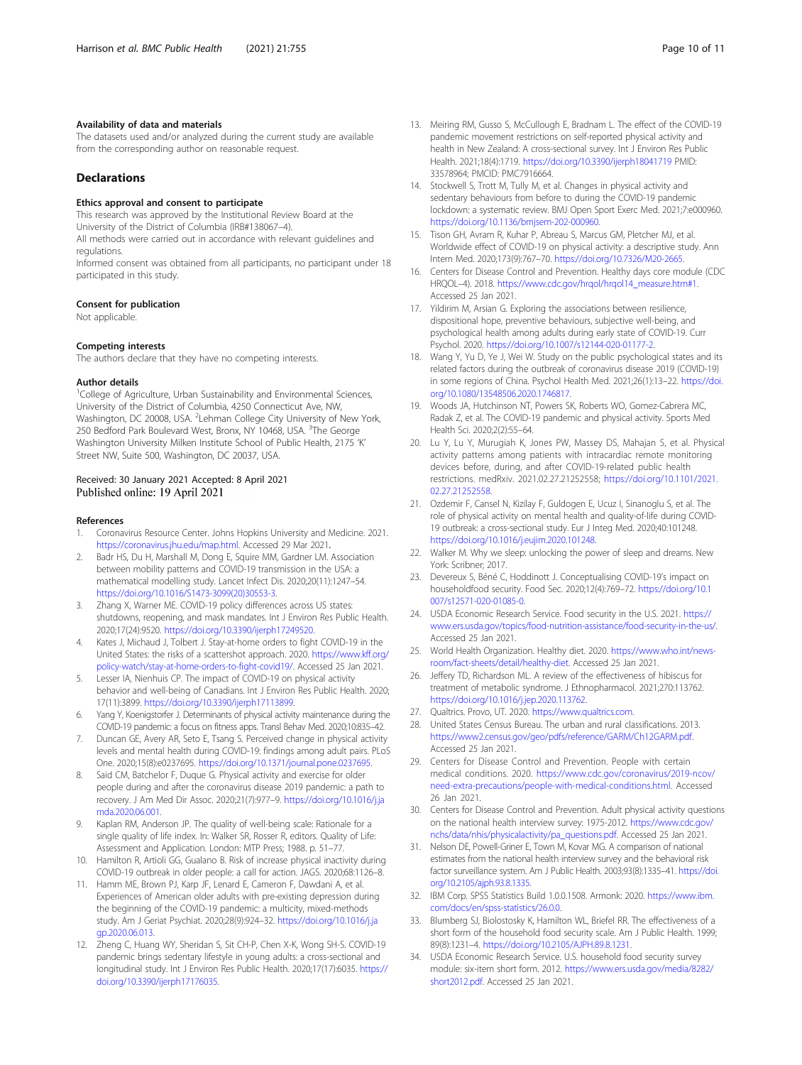#### <span id="page-9-0"></span>Availability of data and materials

The datasets used and/or analyzed during the current study are available from the corresponding author on reasonable request.

#### Declarations

#### Ethics approval and consent to participate

This research was approved by the Institutional Review Board at the University of the District of Columbia (IRB#138067–4).

All methods were carried out in accordance with relevant guidelines and regulations.

Informed consent was obtained from all participants, no participant under 18 participated in this study.

#### Consent for publication

Not applicable.

#### Competing interests

The authors declare that they have no competing interests.

#### Author details

<sup>1</sup>College of Agriculture, Urban Sustainability and Environmental Sciences, University of the District of Columbia, 4250 Connecticut Ave, NW, Washington, DC 20008, USA. <sup>2</sup>Lehman College City University of New York, 250 Bedford Park Boulevard West, Bronx, NY 10468, USA. <sup>3</sup>The George Washington University Milken Institute School of Public Health, 2175 'K' Street NW, Suite 500, Washington, DC 20037, USA.

#### Received: 30 January 2021 Accepted: 8 April 2021 Published online: 19 April 2021

#### References

- 1. Coronavirus Resource Center. Johns Hopkins University and Medicine. 2021. <https://coronavirus.jhu.edu/map.html>. Accessed 29 Mar 2021.
- 2. Badr HS, Du H, Marshall M, Dong E, Squire MM, Gardner LM. Association between mobility patterns and COVID-19 transmission in the USA: a mathematical modelling study. Lancet Infect Dis. 2020;20(11):1247–54. [https://doi.org/10.1016/S1473-3099\(20\)30553-3.](https://doi.org/10.1016/S1473-3099(20)30553-3)
- 3. Zhang X, Warner ME. COVID-19 policy differences across US states: shutdowns, reopening, and mask mandates. Int J Environ Res Public Health. 2020;17(24):9520. [https://doi.org/10.3390/ijerph17249520.](https://doi.org/10.3390/ijerph17249520)
- 4. Kates J, Michaud J, Tolbert J. Stay-at-home orders to fight COVID-19 in the United States: the risks of a scattershot approach. 2020. [https://www.kff.org/](https://www.kff.org/policy-watch/stay-at-home-orders-to-fight-covid19/) [policy-watch/stay-at-home-orders-to-fight-covid19/.](https://www.kff.org/policy-watch/stay-at-home-orders-to-fight-covid19/) Accessed 25 Jan 2021.
- 5. Lesser IA, Nienhuis CP. The impact of COVID-19 on physical activity behavior and well-being of Canadians. Int J Environ Res Public Health. 2020; 17(11):3899. [https://doi.org/10.3390/ijerph17113899.](https://doi.org/10.3390/ijerph17113899)
- 6. Yang Y, Koenigstorfer J. Determinants of physical activity maintenance during the COVID-19 pandemic: a focus on fitness apps. Transl Behav Med. 2020;10:835–42.
- 7. Duncan GE, Avery AR, Seto E, Tsang S. Perceived change in physical activity levels and mental health during COVID-19: findings among adult pairs. PLoS One. 2020;15(8):e0237695. <https://doi.org/10.1371/journal.pone.0237695>.
- Said CM, Batchelor F, Duque G. Physical activity and exercise for older people during and after the coronavirus disease 2019 pandemic: a path to recovery. J Am Med Dir Assoc. 2020;21(7):977–9. [https://doi.org/10.1016/j.ja](https://doi.org/10.1016/j.jamda.2020.06.001) [mda.2020.06.001.](https://doi.org/10.1016/j.jamda.2020.06.001)
- Kaplan RM, Anderson JP. The quality of well-being scale: Rationale for a single quality of life index. In: Walker SR, Rosser R, editors. Quality of Life: Assessment and Application. London: MTP Press; 1988. p. 51–77.
- 10. Hamilton R, Artioli GG, Gualano B. Risk of increase physical inactivity during COVID-19 outbreak in older people: a call for action. JAGS. 2020;68:1126–8.
- 11. Hamm ME, Brown PJ, Karp JF, Lenard E, Cameron F, Dawdani A, et al. Experiences of American older adults with pre-existing depression during the beginning of the COVID-19 pandemic: a multicity, mixed-methods study. Am J Geriat Psychiat. 2020;28(9):924–32. [https://doi.org/10.1016/j.ja](https://doi.org/10.1016/j.jagp.2020.06.013) [gp.2020.06.013.](https://doi.org/10.1016/j.jagp.2020.06.013)
- 12. Zheng C, Huang WY, Sheridan S, Sit CH-P, Chen X-K, Wong SH-S. COVID-19 pandemic brings sedentary lifestyle in young adults: a cross-sectional and longitudinal study. Int J Environ Res Public Health. 2020;17(17):6035. [https://](https://doi.org/10.3390/ijerph17176035) [doi.org/10.3390/ijerph17176035.](https://doi.org/10.3390/ijerph17176035)
- 13. Meiring RM, Gusso S, McCullough E, Bradnam L. The effect of the COVID-19 pandemic movement restrictions on self-reported physical activity and health in New Zealand: A cross-sectional survey. Int J Environ Res Public Health. 2021;18(4):1719. <https://doi.org/10.3390/ijerph18041719> PMID: 33578964; PMCID: PMC7916664.
- 14. Stockwell S, Trott M, Tully M, et al. Changes in physical activity and sedentary behaviours from before to during the COVID-19 pandemic lockdown: a systematic review. BMJ Open Sport Exerc Med. 2021;7:e000960. [https://doi.org/10.1136/bmjsem-202-000960.](https://doi.org/10.1136/bmjsem-202-000960)
- 15. Tison GH, Avram R, Kuhar P, Abreau S, Marcus GM, Pletcher MJ, et al. Worldwide effect of COVID-19 on physical activity: a descriptive study. Ann Intern Med. 2020;173(9):767–70. <https://doi.org/10.7326/M20-2665>.
- 16. Centers for Disease Control and Prevention. Healthy days core module (CDC HRQOL–4). 2018. [https://www.cdc.gov/hrqol/hrqol14\\_measure.htm#1.](https://www.cdc.gov/hrqol/hrqol14_measure.htm#1) Accessed 25 Jan 2021.
- 17. Yildirim M, Arsian G. Exploring the associations between resilience, dispositional hope, preventive behaviours, subjective well-being, and psychological health among adults during early state of COVID-19. Curr Psychol. 2020. <https://doi.org/10.1007/s12144-020-01177-2>.
- 18. Wang Y, Yu D, Ye J, Wei W. Study on the public psychological states and its related factors during the outbreak of coronavirus disease 2019 (COVID-19) in some regions of China. Psychol Health Med. 2021;26(1):13–22. [https://doi.](https://doi.org/10.1080/13548506.2020.1746817) [org/10.1080/13548506.2020.1746817](https://doi.org/10.1080/13548506.2020.1746817).
- 19. Woods JA, Hutchinson NT, Powers SK, Roberts WO, Gomez-Cabrera MC, Radak Z, et al. The COVID-19 pandemic and physical activity. Sports Med Health Sci. 2020;2(2):55–64.
- 20. Lu Y, Lu Y, Murugiah K, Jones PW, Massey DS, Mahajan S, et al. Physical activity patterns among patients with intracardiac remote monitoring devices before, during, and after COVID-19-related public health restrictions. medRxiv. 2021.02.27.21252558; [https://doi.org/10.1101/2021.](https://doi.org/10.1101/2021.02.27.21252558) [02.27.21252558](https://doi.org/10.1101/2021.02.27.21252558).
- 21. Ozdemir F, Cansel N, Kizilay F, Guldogen E, Ucuz I, Sinanoglu S, et al. The role of physical activity on mental health and quality-of-life during COVID-19 outbreak: a cross-sectional study. Eur J Integ Med. 2020;40:101248. [https://doi.org/10.1016/j.eujim.2020.101248.](https://doi.org/10.1016/j.eujim.2020.101248)
- 22. Walker M. Why we sleep: unlocking the power of sleep and dreams. New York: Scribner; 2017.
- 23. Devereux S, Béné C, Hoddinott J. Conceptualising COVID-19's impact on householdfood security. Food Sec. 2020;12(4):769–72. [https://doi.org/10.1](https://doi.org/10.1007/s12571-020-01085-0) [007/s12571-020-01085-0](https://doi.org/10.1007/s12571-020-01085-0).
- 24. USDA Economic Research Service. Food security in the U.S. 2021. [https://](https://www.ers.usda.gov/topics/food-nutrition-assistance/food-security-in-the-us/) [www.ers.usda.gov/topics/food-nutrition-assistance/food-security-in-the-us/.](https://www.ers.usda.gov/topics/food-nutrition-assistance/food-security-in-the-us/) Accessed 25 Jan 2021.
- 25. World Health Organization. Healthy diet. 2020. [https://www.who.int/news](https://www.who.int/news-room/fact-sheets/detail/healthy-diet)[room/fact-sheets/detail/healthy-diet](https://www.who.int/news-room/fact-sheets/detail/healthy-diet). Accessed 25 Jan 2021.
- 26. Jeffery TD, Richardson ML. A review of the effectiveness of hibiscus for treatment of metabolic syndrome. J Ethnopharmacol. 2021;270:113762. [https://doi.org/10.1016/j.jep.2020.113762.](https://doi.org/10.1016/j.jep.2020.113762)
- 27. Qualtrics. Provo, UT. 2020. <https://www.qualtrics.com>.
- 28. United States Census Bureau. The urban and rural classifications. 2013. <https://www2.census.gov/geo/pdfs/reference/GARM/Ch12GARM.pdf>. Accessed 25 Jan 2021.
- 29. Centers for Disease Control and Prevention. People with certain medical conditions. 2020. [https://www.cdc.gov/coronavirus/2019-ncov/](https://www.cdc.gov/coronavirus/2019-ncov/need-extra-precautions/people-with-medical-conditions.html) [need-extra-precautions/people-with-medical-conditions.html](https://www.cdc.gov/coronavirus/2019-ncov/need-extra-precautions/people-with-medical-conditions.html). Accessed 26 Jan 2021.
- 30. Centers for Disease Control and Prevention. Adult physical activity questions on the national health interview survey: 1975-2012. https://www.cdc.gov, [nchs/data/nhis/physicalactivity/pa\\_questions.pdf](https://www.cdc.gov/nchs/data/nhis/physicalactivity/pa_questions.pdf). Accessed 25 Jan 2021.
- 31. Nelson DE, Powell-Griner E, Town M, Kovar MG. A comparison of national estimates from the national health interview survey and the behavioral risk factor surveillance system. Am J Public Health. 2003;93(8):1335–41. [https://doi.](https://doi.org/10.2105/ajph.93.8.1335) [org/10.2105/ajph.93.8.1335](https://doi.org/10.2105/ajph.93.8.1335).
- 32. IBM Corp. SPSS Statistics Build 1.0.0.1508. Armonk: 2020. [https://www.ibm.](https://www.ibm.com/docs/en/spss-statistics/26.0.0) [com/docs/en/spss-statistics/26.0.0](https://www.ibm.com/docs/en/spss-statistics/26.0.0).
- 33. Blumberg SJ, Biolostosky K, Hamilton WL, Briefel RR. The effectiveness of a short form of the household food security scale. Am J Public Health. 1999; 89(8):1231–4. <https://doi.org/10.2105/AJPH.89.8.1231>.
- 34. USDA Economic Research Service. U.S. household food security survey module: six-item short form. 2012. [https://www.ers.usda.gov/media/8282/](https://www.ers.usda.gov/media/8282/short2012.pdf) [short2012.pdf.](https://www.ers.usda.gov/media/8282/short2012.pdf) Accessed 25 Jan 2021.